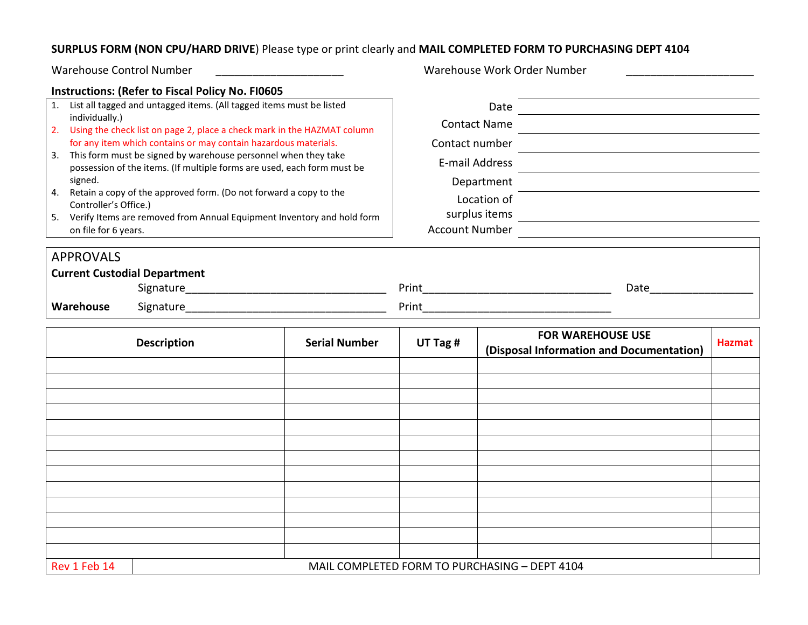## **SURPLUS FORM (NON CPU/HARD DRIVE**) Please type or print clearly and **MAIL COMPLETED FORM TO PURCHASING DEPT 4104**

|                                                                                                                                      | <b>Warehouse Control Number</b>                                           |                                                         |                                                                                                               |               | Warehouse Work Order Number              |                                                                                                                                                                                                                                |               |  |
|--------------------------------------------------------------------------------------------------------------------------------------|---------------------------------------------------------------------------|---------------------------------------------------------|---------------------------------------------------------------------------------------------------------------|---------------|------------------------------------------|--------------------------------------------------------------------------------------------------------------------------------------------------------------------------------------------------------------------------------|---------------|--|
|                                                                                                                                      |                                                                           | <b>Instructions: (Refer to Fiscal Policy No. FI0605</b> |                                                                                                               |               |                                          |                                                                                                                                                                                                                                |               |  |
| 1. List all tagged and untagged items. (All tagged items must be listed                                                              |                                                                           |                                                         |                                                                                                               |               |                                          | Date and the contract of the contract of the contract of the contract of the contract of the contract of the contract of the contract of the contract of the contract of the contract of the contract of the contract of the c |               |  |
| individually.)<br>2. Using the check list on page 2, place a check mark in the HAZMAT column                                         |                                                                           |                                                         | <b>Contact Name</b><br><u> 1989 - Johann Barn, mars ar breist bestjoerde te gemeente kommen van de kommen</u> |               |                                          |                                                                                                                                                                                                                                |               |  |
| for any item which contains or may contain hazardous materials.<br>3. This form must be signed by warehouse personnel when they take |                                                                           |                                                         | Contact number<br>E-mail Address                                                                              |               |                                          |                                                                                                                                                                                                                                |               |  |
|                                                                                                                                      |                                                                           |                                                         |                                                                                                               |               |                                          |                                                                                                                                                                                                                                |               |  |
| possession of the items. (If multiple forms are used, each form must be                                                              |                                                                           |                                                         |                                                                                                               |               |                                          |                                                                                                                                                                                                                                |               |  |
| signed.<br>4. Retain a copy of the approved form. (Do not forward a copy to the                                                      |                                                                           |                                                         | Department                                                                                                    |               |                                          |                                                                                                                                                                                                                                |               |  |
|                                                                                                                                      | Controller's Office.)                                                     |                                                         |                                                                                                               | Location of   |                                          |                                                                                                                                                                                                                                |               |  |
|                                                                                                                                      | 5. Verify Items are removed from Annual Equipment Inventory and hold form |                                                         |                                                                                                               | surplus items |                                          | <u> 1989 - Johann Stoff, deutscher Stoffen und der Stoffen und der Stoffen und der Stoffen und der Stoffen und der</u>                                                                                                         |               |  |
|                                                                                                                                      |                                                                           | on file for 6 years.                                    |                                                                                                               |               | <b>Account Number</b>                    |                                                                                                                                                                                                                                |               |  |
|                                                                                                                                      | <b>APPROVALS</b>                                                          |                                                         |                                                                                                               |               |                                          |                                                                                                                                                                                                                                |               |  |
| <b>Current Custodial Department</b>                                                                                                  |                                                                           |                                                         |                                                                                                               |               |                                          |                                                                                                                                                                                                                                |               |  |
|                                                                                                                                      |                                                                           |                                                         |                                                                                                               |               | Date                                     |                                                                                                                                                                                                                                |               |  |
|                                                                                                                                      | Warehouse                                                                 |                                                         |                                                                                                               |               |                                          |                                                                                                                                                                                                                                |               |  |
|                                                                                                                                      |                                                                           |                                                         |                                                                                                               |               |                                          |                                                                                                                                                                                                                                |               |  |
|                                                                                                                                      |                                                                           | <b>Description</b>                                      | <b>Serial Number</b>                                                                                          | UT Tag #      | <b>FOR WAREHOUSE USE</b>                 |                                                                                                                                                                                                                                | <b>Hazmat</b> |  |
|                                                                                                                                      |                                                                           |                                                         |                                                                                                               |               | (Disposal Information and Documentation) |                                                                                                                                                                                                                                |               |  |
|                                                                                                                                      |                                                                           |                                                         |                                                                                                               |               |                                          |                                                                                                                                                                                                                                |               |  |
|                                                                                                                                      |                                                                           |                                                         |                                                                                                               |               |                                          |                                                                                                                                                                                                                                |               |  |
|                                                                                                                                      |                                                                           |                                                         |                                                                                                               |               |                                          |                                                                                                                                                                                                                                |               |  |
|                                                                                                                                      |                                                                           |                                                         |                                                                                                               |               |                                          |                                                                                                                                                                                                                                |               |  |
|                                                                                                                                      |                                                                           |                                                         |                                                                                                               |               |                                          |                                                                                                                                                                                                                                |               |  |
|                                                                                                                                      |                                                                           |                                                         |                                                                                                               |               |                                          |                                                                                                                                                                                                                                |               |  |
|                                                                                                                                      |                                                                           |                                                         |                                                                                                               |               |                                          |                                                                                                                                                                                                                                |               |  |
|                                                                                                                                      |                                                                           |                                                         |                                                                                                               |               |                                          |                                                                                                                                                                                                                                |               |  |
|                                                                                                                                      |                                                                           |                                                         |                                                                                                               |               |                                          |                                                                                                                                                                                                                                |               |  |
|                                                                                                                                      |                                                                           |                                                         |                                                                                                               |               |                                          |                                                                                                                                                                                                                                |               |  |
|                                                                                                                                      |                                                                           |                                                         |                                                                                                               |               |                                          |                                                                                                                                                                                                                                |               |  |

Rev 1 Feb 14 MAIL COMPLETED FORM TO PURCHASING – DEPT 4104